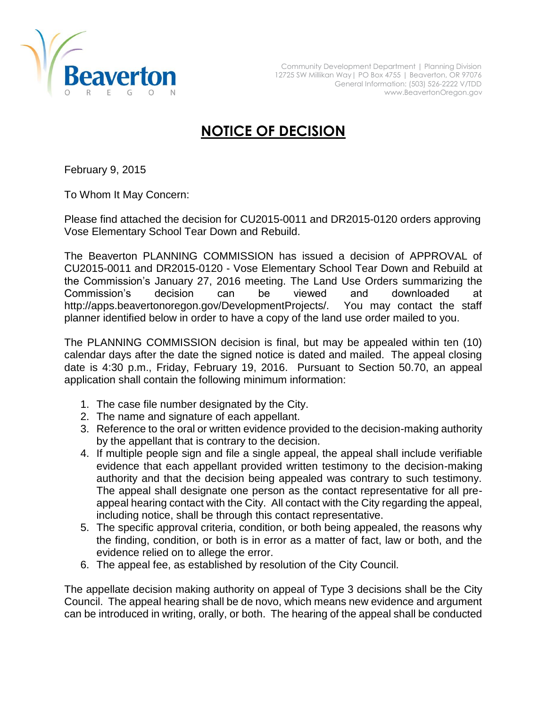

## **NOTICE OF DECISION**

February 9, 2015

To Whom It May Concern:

Please find attached the decision for CU2015-0011 and DR2015-0120 orders approving Vose Elementary School Tear Down and Rebuild.

The Beaverton PLANNING COMMISSION has issued a decision of APPROVAL of CU2015-0011 and DR2015-0120 - Vose Elementary School Tear Down and Rebuild at the Commission's January 27, 2016 meeting. The Land Use Orders summarizing the Commission's decision can be viewed and downloaded at http://apps.beavertonoregon.gov/DevelopmentProjects/. You may contact the staff planner identified below in order to have a copy of the land use order mailed to you.

The PLANNING COMMISSION decision is final, but may be appealed within ten (10) calendar days after the date the signed notice is dated and mailed. The appeal closing date is 4:30 p.m., Friday, February 19, 2016. Pursuant to Section 50.70, an appeal application shall contain the following minimum information:

- 1. The case file number designated by the City.
- 2. The name and signature of each appellant.
- 3. Reference to the oral or written evidence provided to the decision-making authority by the appellant that is contrary to the decision.
- 4. If multiple people sign and file a single appeal, the appeal shall include verifiable evidence that each appellant provided written testimony to the decision-making authority and that the decision being appealed was contrary to such testimony. The appeal shall designate one person as the contact representative for all preappeal hearing contact with the City. All contact with the City regarding the appeal, including notice, shall be through this contact representative.
- 5. The specific approval criteria, condition, or both being appealed, the reasons why the finding, condition, or both is in error as a matter of fact, law or both, and the evidence relied on to allege the error.
- 6. The appeal fee, as established by resolution of the City Council.

The appellate decision making authority on appeal of Type 3 decisions shall be the City Council. The appeal hearing shall be de novo, which means new evidence and argument can be introduced in writing, orally, or both. The hearing of the appeal shall be conducted